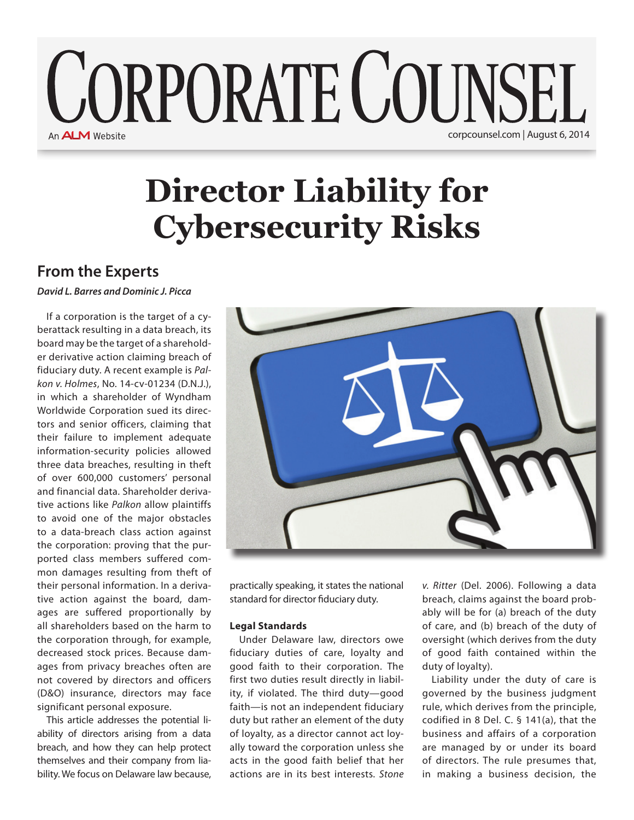# **CORPORATE COUNSEL** An **ALM** Website corpcounsel.com | August 6, 2014

# **Director Liability for Cybersecurity Risks**

## **From the Experts**

*David L. Barres and Dominic J. Picca*

If a corporation is the target of a cyberattack resulting in a data breach, its board may be the target of a shareholder derivative action claiming breach of fiduciary duty. A recent example is *Palkon v. Holmes*, No. 14-cv-01234 (D.N.J.), in which a shareholder of Wyndham Worldwide Corporation sued its directors and senior officers, claiming that their failure to implement adequate information-security policies allowed three data breaches, resulting in theft of over 600,000 customers' personal and financial data. Shareholder derivative actions like *Palkon* allow plaintiffs to avoid one of the major obstacles to a data-breach class action against the corporation: proving that the purported class members suffered common damages resulting from theft of their personal information. In a derivative action against the board, damages are suffered proportionally by all shareholders based on the harm to the corporation through, for example, decreased stock prices. Because damages from privacy breaches often are not covered by directors and officers (D&O) insurance, directors may face significant personal exposure.

This article addresses the potential liability of directors arising from a data breach, and how they can help protect themselves and their company from liability. We focus on Delaware law because,



practically speaking, it states the national standard for director fiduciary duty.

### **Legal Standards**

Under Delaware law, directors owe fiduciary duties of care, loyalty and good faith to their corporation. The first two duties result directly in liability, if violated. The third duty—good faith—is not an independent fiduciary duty but rather an element of the duty of loyalty, as a director cannot act loyally toward the corporation unless she acts in the good faith belief that her actions are in its best interests. *Stone* 

*v. Ritter* (Del. 2006). Following a data breach, claims against the board probably will be for (a) breach of the duty of care, and (b) breach of the duty of oversight (which derives from the duty of good faith contained within the duty of loyalty).

Liability under the duty of care is governed by the business judgment rule, which derives from the principle, codified in 8 Del. C. § 141(a), that the business and affairs of a corporation are managed by or under its board of directors. The rule presumes that, in making a business decision, the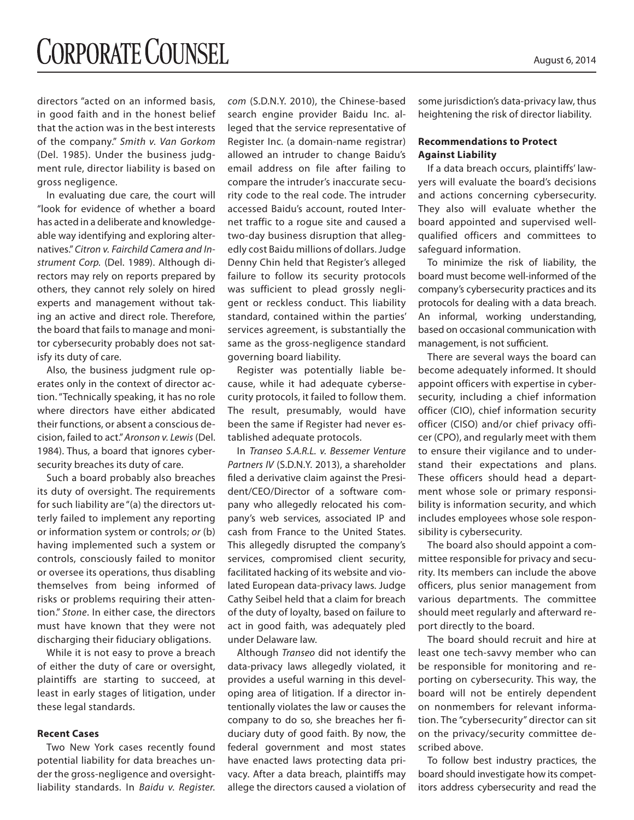directors "acted on an informed basis, in good faith and in the honest belief that the action was in the best interests of the company." *Smith v. Van Gorkom* (Del. 1985). Under the business judgment rule, director liability is based on gross negligence.

In evaluating due care, the court will "look for evidence of whether a board has acted in a deliberate and knowledgeable way identifying and exploring alternatives." *Citron v. Fairchild Camera and Instrument Corp.* (Del. 1989). Although directors may rely on reports prepared by others, they cannot rely solely on hired experts and management without taking an active and direct role. Therefore, the board that fails to manage and monitor cybersecurity probably does not satisfy its duty of care.

Also, the business judgment rule operates only in the context of director action. "Technically speaking, it has no role where directors have either abdicated their functions, or absent a conscious decision, failed to act." *Aronson v. Lewis* (Del. 1984). Thus, a board that ignores cybersecurity breaches its duty of care.

Such a board probably also breaches its duty of oversight. The requirements for such liability are "(a) the directors utterly failed to implement any reporting or information system or controls; *or* (b) having implemented such a system or controls, consciously failed to monitor or oversee its operations, thus disabling themselves from being informed of risks or problems requiring their attention." *Stone*. In either case, the directors must have known that they were not discharging their fiduciary obligations.

While it is not easy to prove a breach of either the duty of care or oversight, plaintiffs are starting to succeed, at least in early stages of litigation, under these legal standards.

#### **Recent Cases**

Two New York cases recently found potential liability for data breaches under the gross-negligence and oversightliability standards. In *Baidu v. Register.*

*com* (S.D.N.Y. 2010), the Chinese-based search engine provider Baidu Inc. alleged that the service representative of Register Inc. (a domain-name registrar) allowed an intruder to change Baidu's email address on file after failing to compare the intruder's inaccurate security code to the real code. The intruder accessed Baidu's account, routed Internet traffic to a rogue site and caused a two-day business disruption that allegedly cost Baidu millions of dollars. Judge Denny Chin held that Register's alleged failure to follow its security protocols was sufficient to plead grossly negligent or reckless conduct. This liability standard, contained within the parties' services agreement, is substantially the same as the gross-negligence standard governing board liability.

Register was potentially liable because, while it had adequate cybersecurity protocols, it failed to follow them. The result, presumably, would have been the same if Register had never established adequate protocols.

In *Transeo S.A.R.L. v. Bessemer Venture Partners IV* (S.D.N.Y. 2013), a shareholder filed a derivative claim against the President/CEO/Director of a software company who allegedly relocated his company's web services, associated IP and cash from France to the United States. This allegedly disrupted the company's services, compromised client security, facilitated hacking of its website and violated European data-privacy laws. Judge Cathy Seibel held that a claim for breach of the duty of loyalty, based on failure to act in good faith, was adequately pled under Delaware law.

Although *Transeo* did not identify the data-privacy laws allegedly violated, it provides a useful warning in this developing area of litigation. If a director intentionally violates the law or causes the company to do so, she breaches her fiduciary duty of good faith. By now, the federal government and most states have enacted laws protecting data privacy. After a data breach, plaintiffs may allege the directors caused a violation of some jurisdiction's data-privacy law, thus heightening the risk of director liability.

### **Recommendations to Protect Against Liability**

If a data breach occurs, plaintiffs' lawyers will evaluate the board's decisions and actions concerning cybersecurity. They also will evaluate whether the board appointed and supervised wellqualified officers and committees to safeguard information.

To minimize the risk of liability, the board must become well-informed of the company's cybersecurity practices and its protocols for dealing with a data breach. An informal, working understanding, based on occasional communication with management, is not sufficient.

There are several ways the board can become adequately informed. It should appoint officers with expertise in cybersecurity, including a chief information officer (CIO), chief information security officer (CISO) and/or chief privacy officer (CPO), and regularly meet with them to ensure their vigilance and to understand their expectations and plans. These officers should head a department whose sole or primary responsibility is information security, and which includes employees whose sole responsibility is cybersecurity.

The board also should appoint a committee responsible for privacy and security. Its members can include the above officers, plus senior management from various departments. The committee should meet regularly and afterward report directly to the board.

The board should recruit and hire at least one tech-savvy member who can be responsible for monitoring and reporting on cybersecurity. This way, the board will not be entirely dependent on nonmembers for relevant information. The "cybersecurity" director can sit on the privacy/security committee described above.

To follow best industry practices, the board should investigate how its competitors address cybersecurity and read the